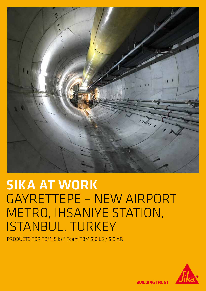

# SIKA AT WORK GAYRETTEPE – NEW AIRPORT METRO, IHSANIYE STATION, ISTANBUL, TURKEY

PRODUCTS FOR TBM: Sika® Foam TBM 510 LS / 513 AR



**BUILDING TRUST**